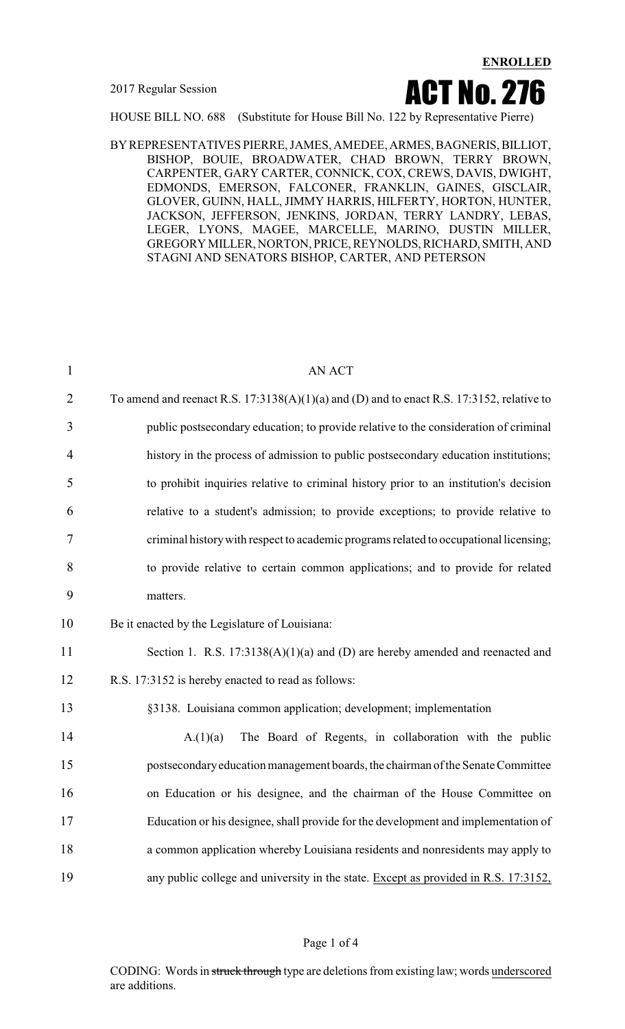

HOUSE BILL NO. 688 (Substitute for House Bill No. 122 by Representative Pierre)

BYREPRESENTATIVES PIERRE, JAMES, AMEDEE, ARMES,BAGNERIS, BILLIOT, BISHOP, BOUIE, BROADWATER, CHAD BROWN, TERRY BROWN, CARPENTER, GARY CARTER, CONNICK, COX, CREWS, DAVIS, DWIGHT, EDMONDS, EMERSON, FALCONER, FRANKLIN, GAINES, GISCLAIR, GLOVER, GUINN, HALL, JIMMY HARRIS, HILFERTY, HORTON, HUNTER, JACKSON, JEFFERSON, JENKINS, JORDAN, TERRY LANDRY, LEBAS, LEGER, LYONS, MAGEE, MARCELLE, MARINO, DUSTIN MILLER, GREGORY MILLER, NORTON, PRICE, REYNOLDS, RICHARD, SMITH, AND STAGNI AND SENATORS BISHOP, CARTER, AND PETERSON

| $\mathbf{1}$   | <b>AN ACT</b>                                                                               |
|----------------|---------------------------------------------------------------------------------------------|
| $\overline{2}$ | To amend and reenact R.S. $17:3138(A)(1)(a)$ and (D) and to enact R.S. 17:3152, relative to |
| 3              | public postsecondary education; to provide relative to the consideration of criminal        |
| $\overline{4}$ | history in the process of admission to public postsecondary education institutions;         |
| 5              | to prohibit inquiries relative to criminal history prior to an institution's decision       |
| 6              | relative to a student's admission; to provide exceptions; to provide relative to            |
| 7              | criminal history with respect to academic programs related to occupational licensing;       |
| 8              | to provide relative to certain common applications; and to provide for related              |
| 9              | matters.                                                                                    |
| 10             | Be it enacted by the Legislature of Louisiana:                                              |
| 11             | Section 1. R.S. $17:3138(A)(1)(a)$ and (D) are hereby amended and reenacted and             |
| 12             | R.S. 17:3152 is hereby enacted to read as follows:                                          |
| 13             | §3138. Louisiana common application; development; implementation                            |
| 14             | The Board of Regents, in collaboration with the public<br>A.(1)(a)                          |
| 15             | postsecondary education management boards, the chairman of the Senate Committee             |
| 16             | on Education or his designee, and the chairman of the House Committee on                    |
| 17             | Education or his designee, shall provide for the development and implementation of          |
| 18             | a common application whereby Louisiana residents and nonresidents may apply to              |
| 19             | any public college and university in the state. Except as provided in R.S. 17:3152,         |
|                |                                                                                             |

#### Page 1 of 4

CODING: Words in struck through type are deletions from existing law; words underscored are additions.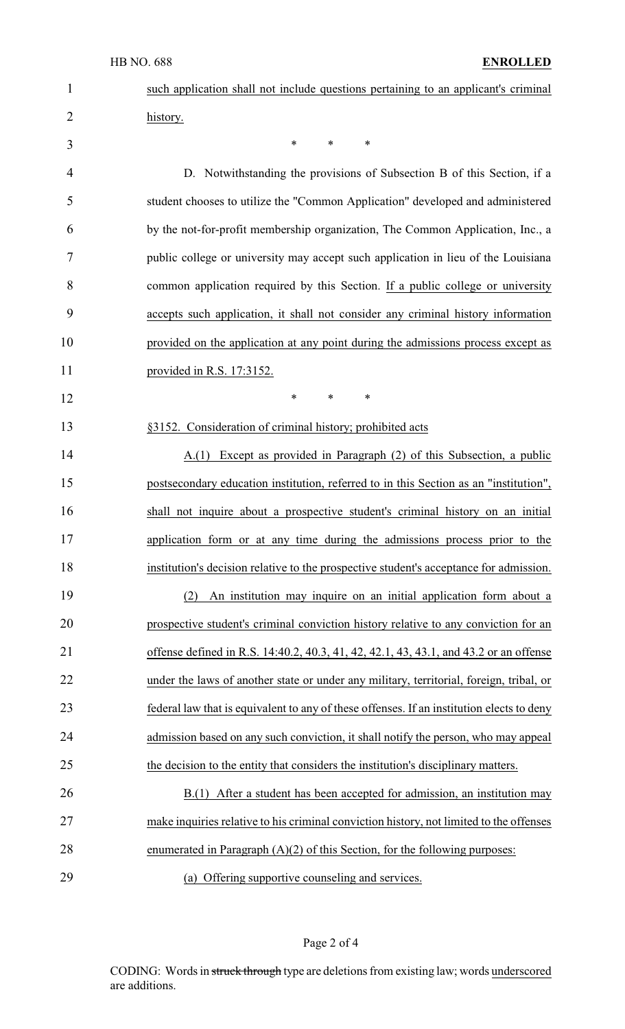| $\mathbf{1}$   | such application shall not include questions pertaining to an applicant's criminal        |
|----------------|-------------------------------------------------------------------------------------------|
| $\overline{2}$ | history.                                                                                  |
| 3              | $\ast$<br>*<br>∗                                                                          |
| 4              | D. Notwithstanding the provisions of Subsection B of this Section, if a                   |
| 5              | student chooses to utilize the "Common Application" developed and administered            |
| 6              | by the not-for-profit membership organization, The Common Application, Inc., a            |
| 7              | public college or university may accept such application in lieu of the Louisiana         |
| 8              | common application required by this Section. If a public college or university            |
| 9              | accepts such application, it shall not consider any criminal history information          |
| 10             | provided on the application at any point during the admissions process except as          |
| 11             | provided in R.S. 17:3152.                                                                 |
| 12             | $\ast$<br>$\ast$<br>$\ast$                                                                |
| 13             | §3152. Consideration of criminal history; prohibited acts                                 |
| 14             | A.(1) Except as provided in Paragraph (2) of this Subsection, a public                    |
| 15             | postsecondary education institution, referred to in this Section as an "institution",     |
| 16             | shall not inquire about a prospective student's criminal history on an initial            |
| 17             | application form or at any time during the admissions process prior to the                |
| 18             | institution's decision relative to the prospective student's acceptance for admission.    |
| 19             | An institution may inquire on an initial application form about a<br>(2)                  |
| 20             | prospective student's criminal conviction history relative to any conviction for an       |
| 21             | offense defined in R.S. 14:40.2, 40.3, 41, 42, 42.1, 43, 43.1, and 43.2 or an offense     |
| 22             | under the laws of another state or under any military, territorial, foreign, tribal, or   |
| 23             | federal law that is equivalent to any of these offenses. If an institution elects to deny |
| 24             | admission based on any such conviction, it shall notify the person, who may appeal        |
| 25             | the decision to the entity that considers the institution's disciplinary matters.         |
| 26             | B.(1) After a student has been accepted for admission, an institution may                 |
| 27             | make inquiries relative to his criminal conviction history, not limited to the offenses   |
| 28             | enumerated in Paragraph $(A)(2)$ of this Section, for the following purposes:             |
| 29             | (a) Offering supportive counseling and services.                                          |

Page 2 of 4

CODING: Words in struck through type are deletions from existing law; words underscored are additions.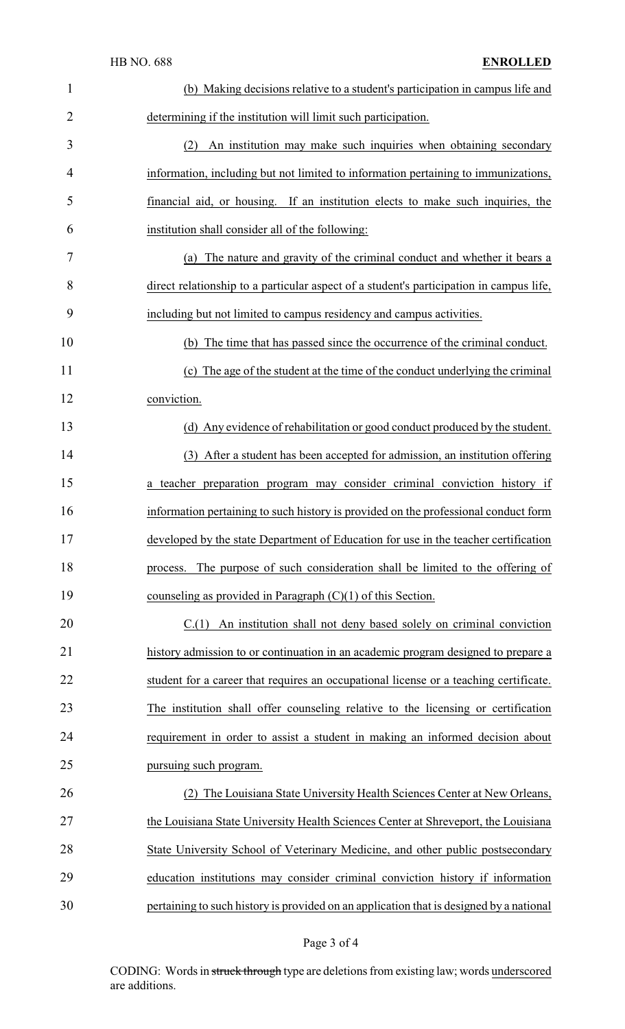| $\mathbf{1}$   | (b) Making decisions relative to a student's participation in campus life and           |
|----------------|-----------------------------------------------------------------------------------------|
| $\overline{2}$ | determining if the institution will limit such participation.                           |
| 3              | An institution may make such inquiries when obtaining secondary<br>(2)                  |
| 4              | information, including but not limited to information pertaining to immunizations,      |
| 5              | financial aid, or housing. If an institution elects to make such inquiries, the         |
| 6              | institution shall consider all of the following:                                        |
| 7              | (a) The nature and gravity of the criminal conduct and whether it bears a               |
| 8              | direct relationship to a particular aspect of a student's participation in campus life, |
| 9              | including but not limited to campus residency and campus activities.                    |
| 10             | (b) The time that has passed since the occurrence of the criminal conduct.              |
| 11             | (c) The age of the student at the time of the conduct underlying the criminal           |
| 12             | conviction.                                                                             |
| 13             | (d) Any evidence of rehabilitation or good conduct produced by the student.             |
| 14             | (3) After a student has been accepted for admission, an institution offering            |
| 15             | a teacher preparation program may consider criminal conviction history if               |
| 16             | information pertaining to such history is provided on the professional conduct form     |
| 17             | developed by the state Department of Education for use in the teacher certification     |
| 18             | process. The purpose of such consideration shall be limited to the offering of          |
| 19             | counseling as provided in Paragraph $(C)(1)$ of this Section.                           |
| 20             | $C(1)$ An institution shall not deny based solely on criminal conviction                |
| 21             | history admission to or continuation in an academic program designed to prepare a       |
| 22             | student for a career that requires an occupational license or a teaching certificate.   |
| 23             | The institution shall offer counseling relative to the licensing or certification       |
| 24             | requirement in order to assist a student in making an informed decision about           |
| 25             | pursuing such program.                                                                  |
| 26             | The Louisiana State University Health Sciences Center at New Orleans,                   |
| 27             | the Louisiana State University Health Sciences Center at Shreveport, the Louisiana      |
| 28             | State University School of Veterinary Medicine, and other public postsecondary          |
| 29             | education institutions may consider criminal conviction history if information          |
| 30             | pertaining to such history is provided on an application that is designed by a national |

# Page 3 of 4

CODING: Words in struck through type are deletions from existing law; words underscored are additions.